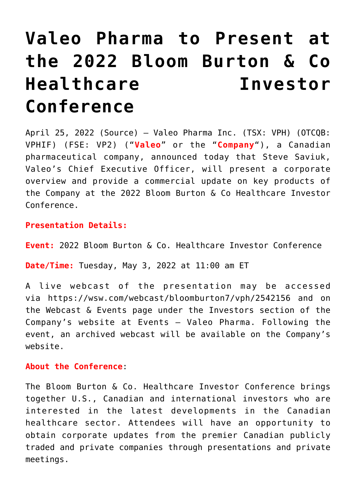# **[Valeo Pharma to Present at](https://investorintel.com/markets/biotech-healthcare/biotech-news/valeo-pharma-to-present-at-the-2022-bloom-burton-co-healthcare-investor-conference/) [the 2022 Bloom Burton & Co](https://investorintel.com/markets/biotech-healthcare/biotech-news/valeo-pharma-to-present-at-the-2022-bloom-burton-co-healthcare-investor-conference/) [Healthcare Investor](https://investorintel.com/markets/biotech-healthcare/biotech-news/valeo-pharma-to-present-at-the-2022-bloom-burton-co-healthcare-investor-conference/) [Conference](https://investorintel.com/markets/biotech-healthcare/biotech-news/valeo-pharma-to-present-at-the-2022-bloom-burton-co-healthcare-investor-conference/)**

April 25, 2022 [\(Source\)](https://www.newswire.ca/news-releases/valeo-pharma-to-present-at-the-2022-bloom-burton-amp-co-healthcare-investor-conference-869119187.html) – [Valeo Pharma Inc](https://c212.net/c/link/?t=0&l=en&o=3514148-1&h=1579871129&u=https%3A%2F%2Fwww.valeopharma.com%2F&a=Valeo+Pharma+Inc). (TSX: [VPH\)](https://www.newswire.ca/news-releases/valeo-pharma-to-present-at-the-2022-bloom-burton-amp-co-healthcare-investor-conference-869119187.html#financial-modal) (OTCQB: VPHIF) (FSE: VP2) ("**Valeo**" or the "**Company**"), a Canadian pharmaceutical company, announced today that Steve Saviuk, Valeo's Chief Executive Officer, will present a corporate overview and provide a commercial update on key products of the Company at the 2022 Bloom Burton & Co Healthcare Investor Conference.

## **Presentation Details:**

**Event:** 2022 Bloom Burton & Co. Healthcare Investor Conference

**Date/Time:** Tuesday, May 3, 2022 at 11:00 am ET

A live webcast of the presentation may be accessed via [https://wsw.com/webcast/bloomburton7/vph/2542156](https://c212.net/c/link/?t=0&l=en&o=3514148-1&h=4113619825&u=https%3A%2F%2Fprotect-us.mimecast.com%2Fs%2FxiOXCYE9A0SL5Vxt0LJBX%3Fdomain%3Dwsw.com&a=https%3A%2F%2Fwsw.com%2Fwebcast%2Fbloomburton7%2Fvph%2F2542156) and on the Webcast & Events page under the Investors section of the Company's website at [Events – Valeo Pharma](https://c212.net/c/link/?t=0&l=en&o=3514148-1&h=1387037011&u=https%3A%2F%2Fvaleopharma.com%2Fevents%2F&a=Events+-+Valeo+Pharma). Following the event, an archived webcast will be available on the Company's website.

#### **About the Conference**:

The Bloom Burton & Co. Healthcare Investor Conference brings together U.S., Canadian and international investors who are interested in the latest developments in the Canadian healthcare sector. Attendees will have an opportunity to obtain corporate updates from the premier Canadian publicly traded and private companies through presentations and private meetings.